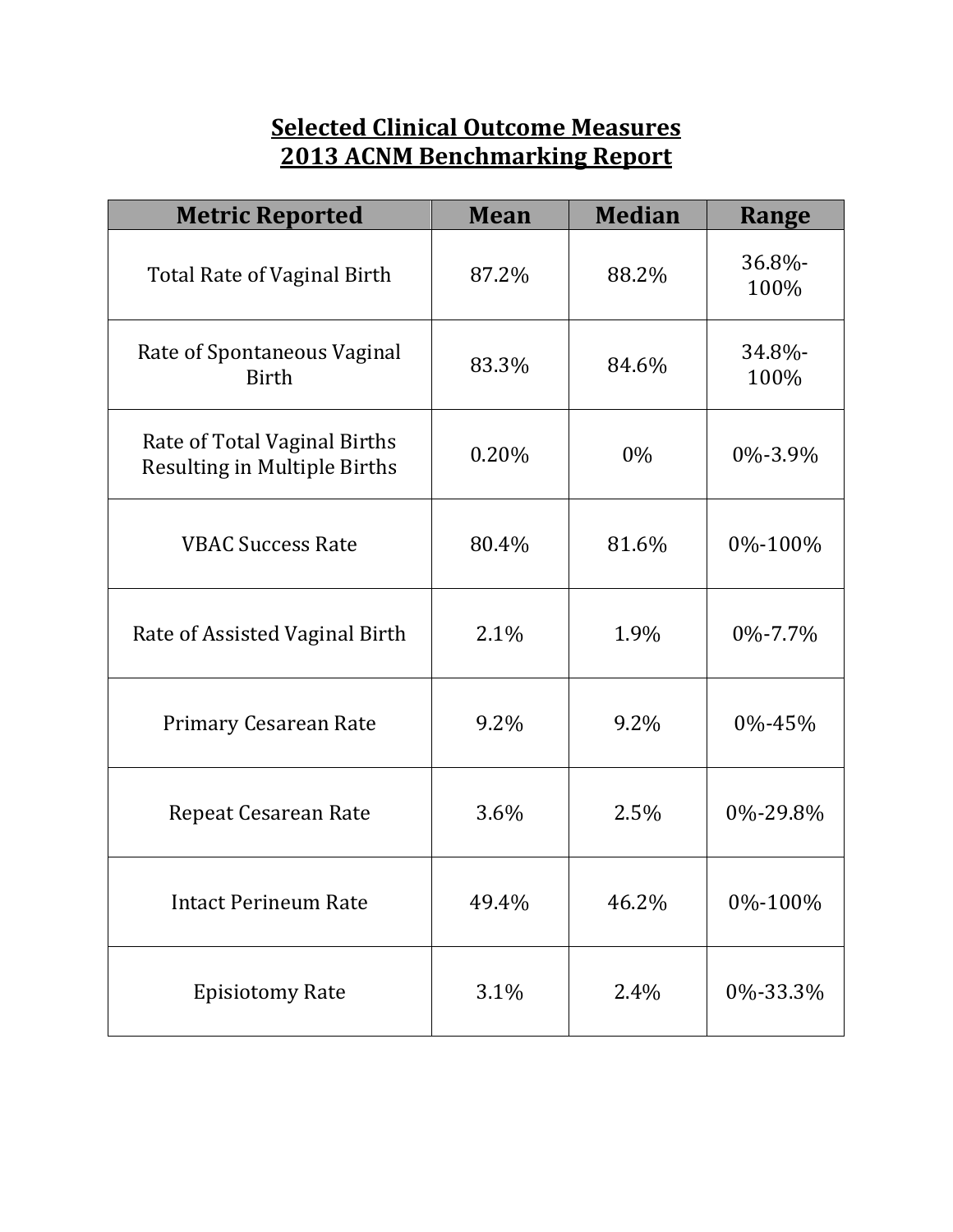## **Selected Clinical Outcome Measures 2013 ACNM Benchmarking Report**

| <b>Metric Reported</b>                                              | <b>Mean</b> | <b>Median</b> | Range            |
|---------------------------------------------------------------------|-------------|---------------|------------------|
| <b>Total Rate of Vaginal Birth</b>                                  | 87.2%       | 88.2%         | 36.8%-<br>100%   |
| Rate of Spontaneous Vaginal<br><b>Birth</b>                         | 83.3%       | 84.6%         | $34.8\%$<br>100% |
| Rate of Total Vaginal Births<br><b>Resulting in Multiple Births</b> | 0.20%       | 0%            | 0\%-3.9\%        |
| <b>VBAC Success Rate</b>                                            | 80.4%       | 81.6%         | 0%-100%          |
| Rate of Assisted Vaginal Birth                                      | 2.1%        | 1.9%          | $0\% - 7.7\%$    |
| <b>Primary Cesarean Rate</b>                                        | 9.2%        | $9.2\%$       | 0%-45%           |
| <b>Repeat Cesarean Rate</b>                                         | 3.6%        | 2.5%          | 0\%-29.8\%       |
| <b>Intact Perineum Rate</b>                                         | 49.4%       | 46.2%         | 0%-100%          |
| <b>Episiotomy Rate</b>                                              | 3.1%        | 2.4%          | 0%-33.3%         |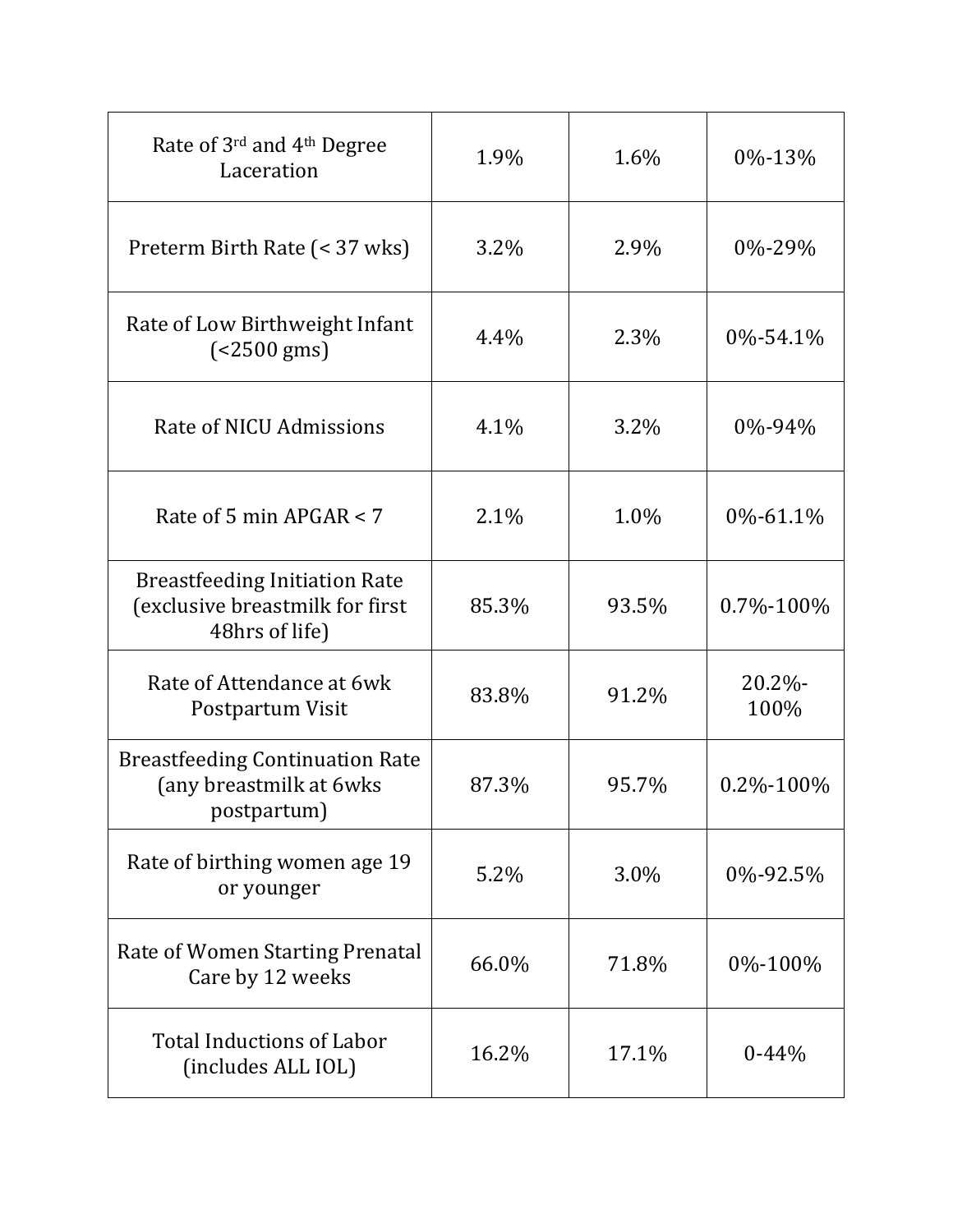| Rate of 3rd and 4th Degree<br>Laceration                                                  | 1.9%    | 1.6%    | 0%-13%             |
|-------------------------------------------------------------------------------------------|---------|---------|--------------------|
| Preterm Birth Rate (< 37 wks)                                                             | $3.2\%$ | 2.9%    | $0\% - 29\%$       |
| Rate of Low Birthweight Infant<br>$( < 2500 \text{ gms})$                                 | 4.4%    | 2.3%    | 0%-54.1%           |
| Rate of NICU Admissions                                                                   | 4.1%    | $3.2\%$ | 0%-94%             |
| Rate of 5 min APGAR $<$ 7                                                                 | 2.1%    | 1.0%    | 0%-61.1%           |
| <b>Breastfeeding Initiation Rate</b><br>(exclusive breastmilk for first<br>48hrs of life) | 85.3%   | 93.5%   | 0.7%-100%          |
| Rate of Attendance at 6wk<br>Postpartum Visit                                             | 83.8%   | 91.2%   | $20.2\%$ -<br>100% |
| <b>Breastfeeding Continuation Rate</b><br>(any breastmilk at 6wks<br>postpartum)          | 87.3%   | 95.7%   | 0.2%-100%          |
| Rate of birthing women age 19<br>or younger                                               | 5.2%    | 3.0%    | 0%-92.5%           |
| Rate of Women Starting Prenatal<br>Care by 12 weeks                                       | 66.0%   | 71.8%   | 0%-100%            |
| <b>Total Inductions of Labor</b><br>(includes ALL IOL)                                    | 16.2%   | 17.1%   | $0 - 44%$          |